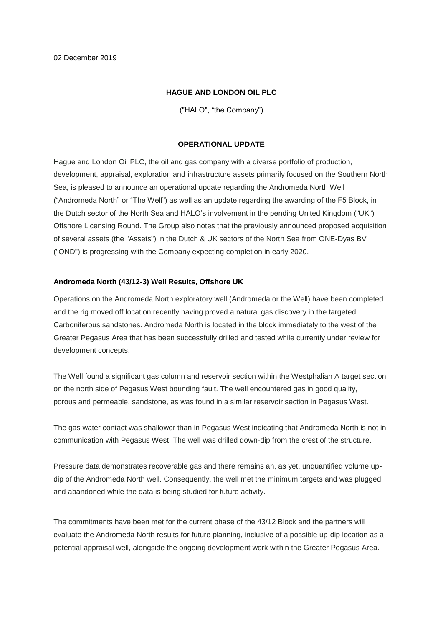#### **HAGUE AND LONDON OIL PLC**

("HALO", "the Company")

# **OPERATIONAL UPDATE**

Hague and London Oil PLC, the oil and gas company with a diverse portfolio of production, development, appraisal, exploration and infrastructure assets primarily focused on the Southern North Sea, is pleased to announce an operational update regarding the Andromeda North Well ("Andromeda North" or "The Well") as well as an update regarding the awarding of the F5 Block, in the Dutch sector of the North Sea and HALO's involvement in the pending United Kingdom ("UK") Offshore Licensing Round. The Group also notes that the previously announced proposed acquisition of several assets (the "Assets") in the Dutch & UK sectors of the North Sea from ONE-Dyas BV ("OND") is progressing with the Company expecting completion in early 2020.

## **Andromeda North (43/12-3) Well Results, Offshore UK**

Operations on the Andromeda North exploratory well (Andromeda or the Well) have been completed and the rig moved off location recently having proved a natural gas discovery in the targeted Carboniferous sandstones. Andromeda North is located in the block immediately to the west of the Greater Pegasus Area that has been successfully drilled and tested while currently under review for development concepts.

The Well found a significant gas column and reservoir section within the Westphalian A target section on the north side of Pegasus West bounding fault. The well encountered gas in good quality, porous and permeable, sandstone, as was found in a similar reservoir section in Pegasus West.

The gas water contact was shallower than in Pegasus West indicating that Andromeda North is not in communication with Pegasus West. The well was drilled down-dip from the crest of the structure.

Pressure data demonstrates recoverable gas and there remains an, as yet, unquantified volume updip of the Andromeda North well. Consequently, the well met the minimum targets and was plugged and abandoned while the data is being studied for future activity.

The commitments have been met for the current phase of the 43/12 Block and the partners will evaluate the Andromeda North results for future planning, inclusive of a possible up-dip location as a potential appraisal well, alongside the ongoing development work within the Greater Pegasus Area.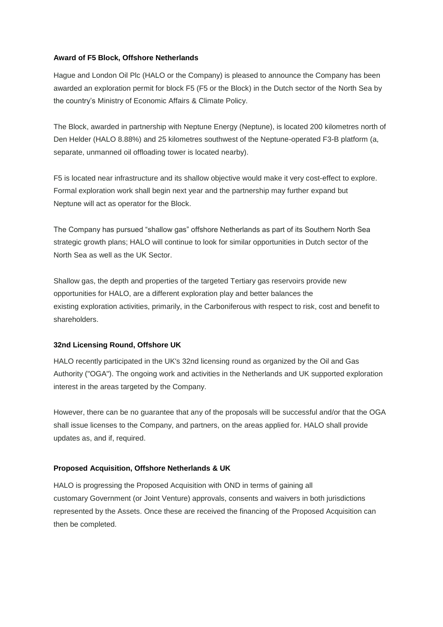# **Award of F5 Block, Offshore Netherlands**

Hague and London Oil Plc (HALO or the Company) is pleased to announce the Company has been awarded an exploration permit for block F5 (F5 or the Block) in the Dutch sector of the North Sea by the country's Ministry of Economic Affairs & Climate Policy.

The Block, awarded in partnership with Neptune Energy (Neptune), is located 200 kilometres north of Den Helder (HALO 8.88%) and 25 kilometres southwest of the Neptune-operated F3-B platform (a, separate, unmanned oil offloading tower is located nearby).

F5 is located near infrastructure and its shallow objective would make it very cost-effect to explore. Formal exploration work shall begin next year and the partnership may further expand but Neptune will act as operator for the Block.

The Company has pursued "shallow gas" offshore Netherlands as part of its Southern North Sea strategic growth plans; HALO will continue to look for similar opportunities in Dutch sector of the North Sea as well as the UK Sector.

Shallow gas, the depth and properties of the targeted Tertiary gas reservoirs provide new opportunities for HALO, are a different exploration play and better balances the existing exploration activities, primarily, in the Carboniferous with respect to risk, cost and benefit to shareholders.

# **32nd Licensing Round, Offshore UK**

HALO recently participated in the UK's 32nd licensing round as organized by the Oil and Gas Authority ("OGA"). The ongoing work and activities in the Netherlands and UK supported exploration interest in the areas targeted by the Company.

However, there can be no guarantee that any of the proposals will be successful and/or that the OGA shall issue licenses to the Company, and partners, on the areas applied for. HALO shall provide updates as, and if, required.

## **Proposed Acquisition, Offshore Netherlands & UK**

HALO is progressing the Proposed Acquisition with OND in terms of gaining all customary Government (or Joint Venture) approvals, consents and waivers in both jurisdictions represented by the Assets. Once these are received the financing of the Proposed Acquisition can then be completed.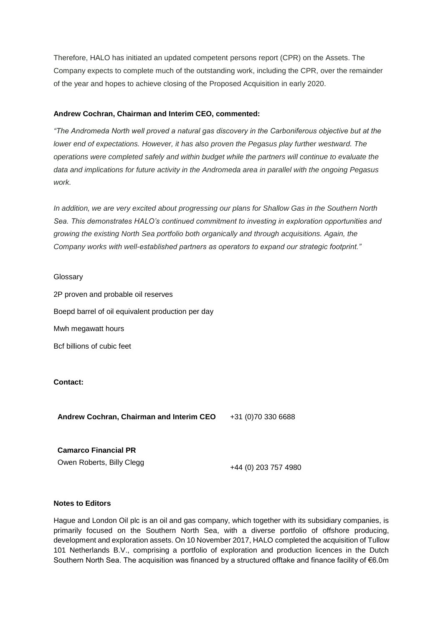Therefore, HALO has initiated an updated competent persons report (CPR) on the Assets. The Company expects to complete much of the outstanding work, including the CPR, over the remainder of the year and hopes to achieve closing of the Proposed Acquisition in early 2020.

# **Andrew Cochran, Chairman and Interim CEO, commented:**

*"The Andromeda North well proved a natural gas discovery in the Carboniferous objective but at the lower end of expectations. However, it has also proven the Pegasus play further westward. The operations were completed safely and within budget while the partners will continue to evaluate the data and implications for future activity in the Andromeda area in parallel with the ongoing Pegasus work.*

*In addition, we are very excited about progressing our plans for Shallow Gas in the Southern North Sea. This demonstrates HALO's continued commitment to investing in exploration opportunities and growing the existing North Sea portfolio both organically and through acquisitions. Again, the Company works with well-established partners as operators to expand our strategic footprint."*

## Glossary

2P proven and probable oil reserves Boepd barrel of oil equivalent production per day Mwh megawatt hours Bcf billions of cubic feet

## **Contact:**

**Andrew Cochran, Chairman and Interim CEO** +31 (0)70 330 6688

# **Camarco Financial PR**

**Notes to Editors**

Owen Roberts, Billy Clegg +44 (0) 203 757 4980

Hague and London Oil plc is an oil and gas company, which together with its subsidiary companies, is primarily focused on the Southern North Sea, with a diverse portfolio of offshore producing, development and exploration assets. On 10 November 2017, HALO completed the acquisition of Tullow 101 Netherlands B.V., comprising a portfolio of exploration and production licences in the Dutch Southern North Sea. The acquisition was financed by a structured offtake and finance facility of €6.0m